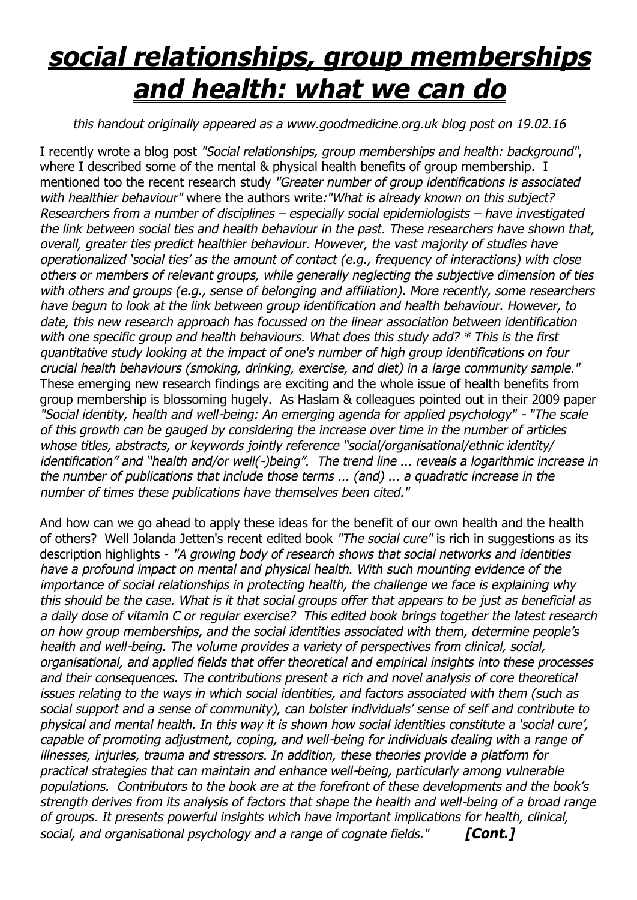## *social relationships, group memberships and health: what we can do*

## *this handout originally appeared as a www.goodmedicine.org.uk blog post on 19.02.16*

I recently wrote a blog post *"Social relationships, group memberships and health: background"*, where I described some of the mental & physical health benefits of group membership. I mentioned too the recent research study *"Greater number of group identifications is associated with healthier behaviour"* where the authors write*:"What is already known on this subject? Researchers from a number of disciplines – especially social epidemiologists – have investigated the link between social ties and health behaviour in the past. These researchers have shown that, overall, greater ties predict healthier behaviour. However, the vast majority of studies have operationalized 'social ties' as the amount of contact (e.g., frequency of interactions) with close others or members of relevant groups, while generally neglecting the subjective dimension of ties with others and groups (e.g., sense of belonging and affiliation). More recently, some researchers have begun to look at the link between group identification and health behaviour. However, to date, this new research approach has focussed on the linear association between identification with one specific group and health behaviours. What does this study add? \* This is the first quantitative study looking at the impact of one's number of high group identifications on four crucial health behaviours (smoking, drinking, exercise, and diet) in a large community sample."* These emerging new research findings are exciting and the whole issue of health benefits from group membership is blossoming hugely. As Haslam & colleagues pointed out in their 2009 paper *"Social identity, health and well-being: An emerging agenda for applied psychology" - "The scale of this growth can be gauged by considering the increase over time in the number of articles whose titles, abstracts, or keywords jointly reference "social/organisational/ethnic identity/ identification" and "health and/or well(-)being". The trend line ... reveals a logarithmic increase in the number of publications that include those terms ... (and) ... a quadratic increase in the number of times these publications have themselves been cited."*

And how can we go ahead to apply these ideas for the benefit of our own health and the health of others? Well Jolanda Jetten's recent edited book *"The social cure"* is rich in suggestions as its description highlights - *"A growing body of research shows that social networks and identities have a profound impact on mental and physical health. With such mounting evidence of the importance of social relationships in protecting health, the challenge we face is explaining why this should be the case. What is it that social groups offer that appears to be just as beneficial as a daily dose of vitamin C or regular exercise? This edited book brings together the latest research on how group memberships, and the social identities associated with them, determine people's health and well-being. The volume provides a variety of perspectives from clinical, social, organisational, and applied fields that offer theoretical and empirical insights into these processes and their consequences. The contributions present a rich and novel analysis of core theoretical issues relating to the ways in which social identities, and factors associated with them (such as social support and a sense of community), can bolster individuals' sense of self and contribute to physical and mental health. In this way it is shown how social identities constitute a 'social cure', capable of promoting adjustment, coping, and well-being for individuals dealing with a range of illnesses, injuries, trauma and stressors. In addition, these theories provide a platform for practical strategies that can maintain and enhance well-being, particularly among vulnerable populations. Contributors to the book are at the forefront of these developments and the book's strength derives from its analysis of factors that shape the health and well-being of a broad range of groups. It presents powerful insights which have important implications for health, clinical, social, and organisational psychology and a range of cognate fields." [Cont.]*